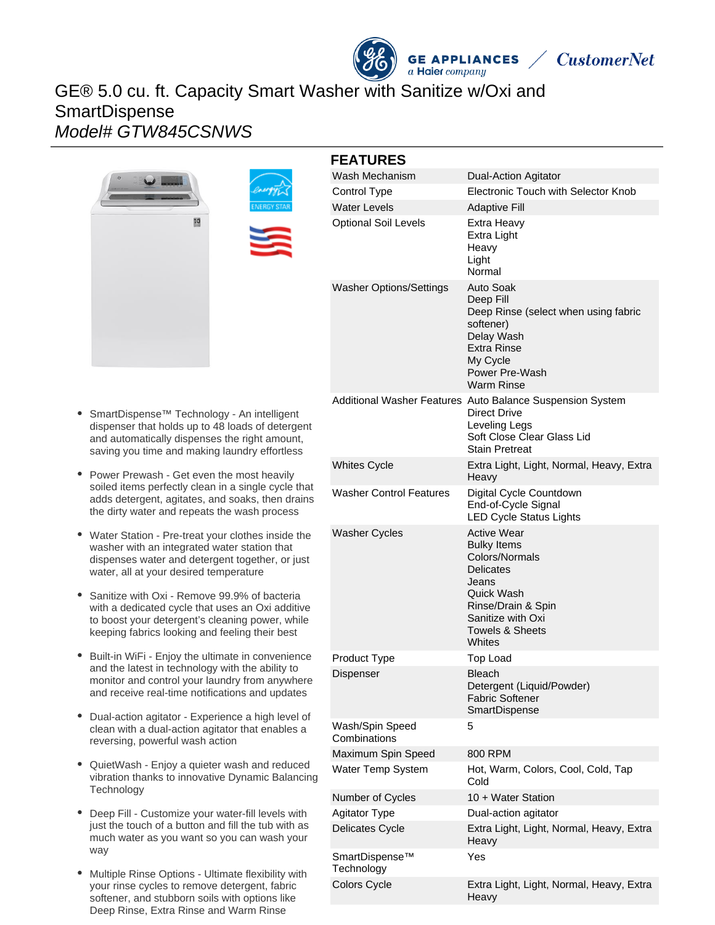# GE® 5.0 cu. ft. Capacity Smart Washer with Sanitize w/Oxi and **SmartDispense** Model# GTW845CSNWS





#### **FEATURES** Wash Mechanism **Dual-Action Agitator** Control Type Electronic Touch with Selector Knob Water Levels **Adaptive Fill** Optional Soil Levels Extra Heavy Extra Light Heavy Light Normal Washer Options/Settings Auto Soak Deep Fill Deep Rinse (select when using fabric softener) Delay Wash Extra Rinse My Cycle Power Pre-Wash Warm Rinse Additional Washer Features Auto Balance Suspension System Direct Drive Leveling Legs Soft Close Clear Glass Lid Stain Pretreat Whites Cycle **Extra Light, Light, Normal, Heavy, Extra** Heavy Washer Control Features Digital Cycle Countdown End-of-Cycle Signal LED Cycle Status Lights Washer Cycles **Active Wear** Bulky Items Colors/Normals **Delicates** Jeans Quick Wash Rinse/Drain & Spin Sanitize with Oxi Towels & Sheets **Whites** Product Type Top Load Dispenser **Bleach** Detergent (Liquid/Powder) Fabric Softener **SmartDispense** Wash/Spin Speed **Combinations** 5

**GE APPLIANCES** 

a Haier company

**CustomerNet** 

Maximum Spin Speed 800 RPM

SmartDispense™ **Technology** 

Number of Cycles 10 + Water Station Agitator Type Dual-action agitator

Water Temp System Hot, Warm, Colors, Cool, Cold, Tap Cold

Delicates Cycle Extra Light, Light, Normal, Heavy, Extra **Heavy** 

Yes

- SmartDispense™ Technology An intelligent dispenser that holds up to 48 loads of detergent and automatically dispenses the right amount, saving you time and making laundry effortless
- Power Prewash Get even the most heavily soiled items perfectly clean in a single cycle that adds detergent, agitates, and soaks, then drains the dirty water and repeats the wash process
- Water Station Pre-treat your clothes inside the washer with an integrated water station that dispenses water and detergent together, or just water, all at your desired temperature
- Sanitize with Oxi Remove 99.9% of bacteria with a dedicated cycle that uses an Oxi additive to boost your detergent's cleaning power, while keeping fabrics looking and feeling their best
- Built-in WiFi Enjoy the ultimate in convenience and the latest in technology with the ability to monitor and control your laundry from anywhere and receive real-time notifications and updates
- $\bullet$ Dual-action agitator - Experience a high level of clean with a dual-action agitator that enables a reversing, powerful wash action
- QuietWash Enjoy a quieter wash and reduced vibration thanks to innovative Dynamic Balancing **Technology**
- Deep Fill Customize your water-fill levels with just the touch of a button and fill the tub with as much water as you want so you can wash your way
- Multiple Rinse Options Ultimate flexibility with your rinse cycles to remove detergent, fabric softener, and stubborn soils with options like Deep Rinse, Extra Rinse and Warm Rinse

Colors Cycle Extra Light, Light, Normal, Heavy, Extra Heavy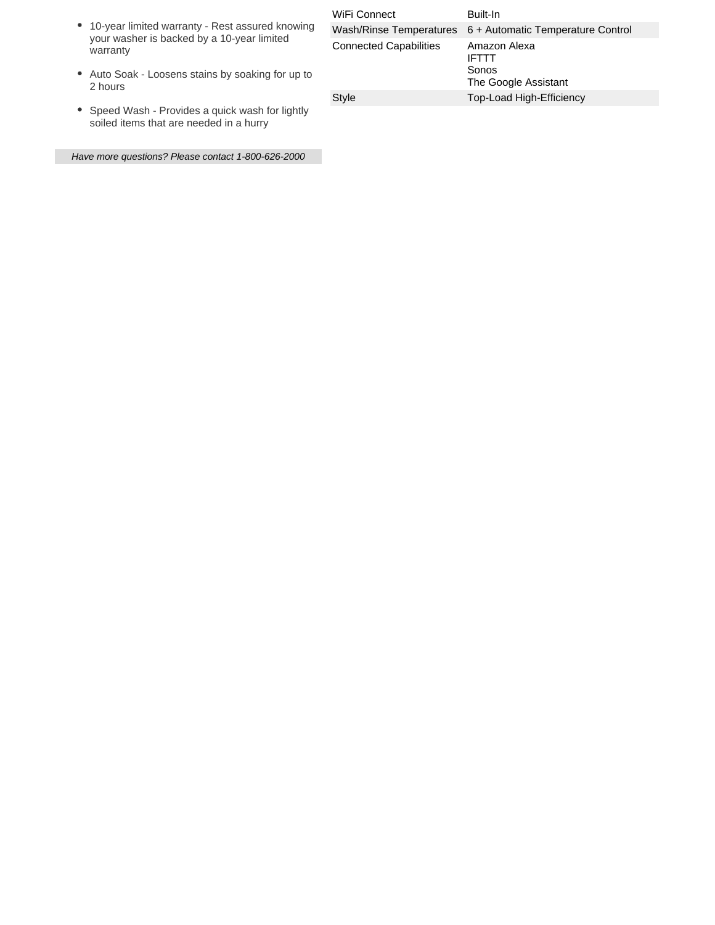| • 10-year limited warranty - Rest assured knowing |
|---------------------------------------------------|
| your washer is backed by a 10-year limited        |
| warranty                                          |

- Auto Soak Loosens stains by soaking for up to 2 hours
- Speed Wash Provides a quick wash for lightly soiled items that are needed in a hurry

Have more questions? Please contact 1-800-626-2000

| WiFi Connect                  | Built-In                                                      |
|-------------------------------|---------------------------------------------------------------|
|                               | Wash/Rinse Temperatures 6 + Automatic Temperature Control     |
| <b>Connected Capabilities</b> | Amazon Alexa<br><b>IFTTT</b><br>Sonos<br>The Google Assistant |
| Style                         | Top-Load High-Efficiency                                      |